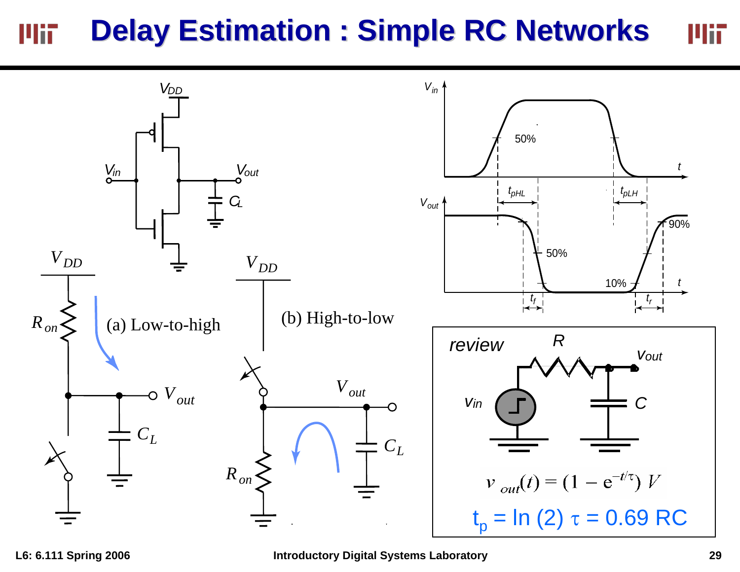## **Delay Estimation : Simple RC Networks** Mii Mii

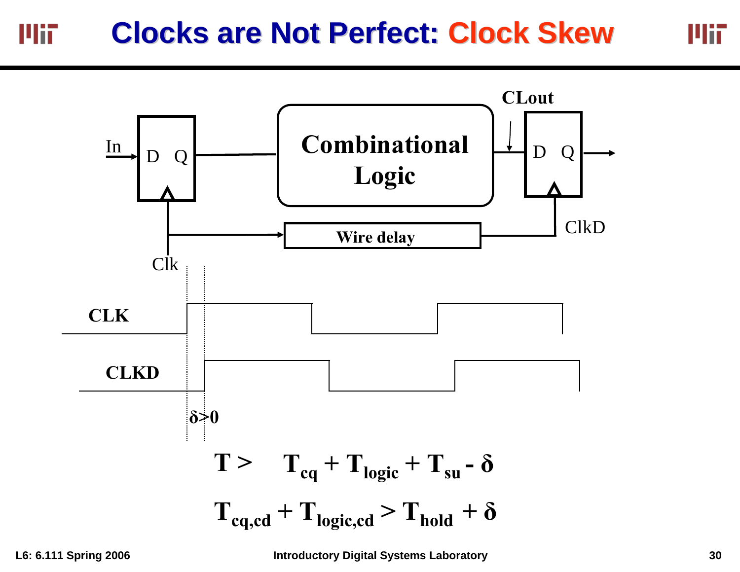## **Clocks are Not Perfect: Clock Skew** Mit



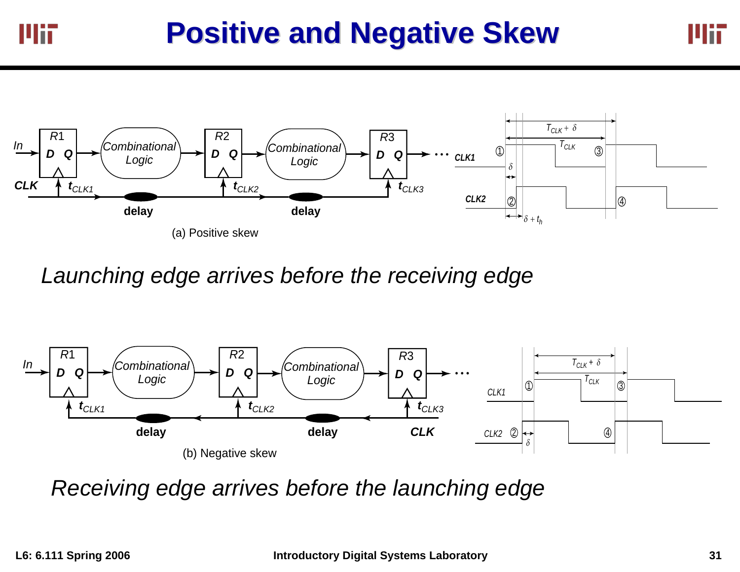

*Launching edge arrives before the receiving edge*



*Receiving edge arrives before the launching edge*